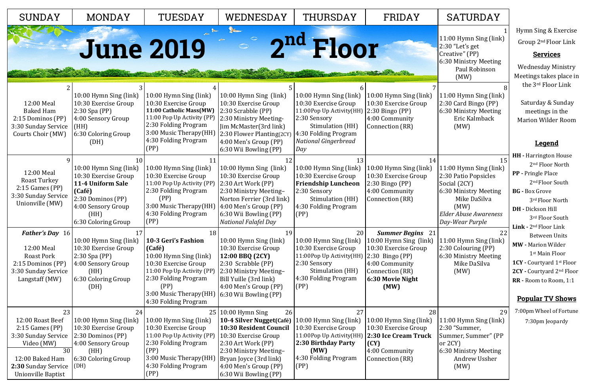| 11:00 Hymn Sing (link) |  |
|------------------------|--|
| 2:30 "Let's get        |  |
| Creative" (PP)         |  |
| 6:30 Ministry Meeting  |  |
| Paul Robinson          |  |
| (MW)                   |  |
|                        |  |

11:00 Hymn Sing (link) 2:30 Card Bingo (PP) 6:30 Ministry Meeting Eric Kalmback (MW)

15 11:00 Hymn Sing (link) 2:30 Patio Popsicles Social (2CY) 6:30 Ministry Meeting Mike DaSilva (MW) *Elder Abuse Awareness* 

*Day-Wear Purple*

| <b>SUNDAY</b>                                                                                                                                                       | <b>MONDAY</b>                                                                                                                                                 | TUESDAY                                                                                                                                                                                                                       | WEDNESDAY                                                                                                                                                                                                                                   | <b>THURSDAY</b>                                                                                                                                                              | FRIDAY                                                                                                                                                          |
|---------------------------------------------------------------------------------------------------------------------------------------------------------------------|---------------------------------------------------------------------------------------------------------------------------------------------------------------|-------------------------------------------------------------------------------------------------------------------------------------------------------------------------------------------------------------------------------|---------------------------------------------------------------------------------------------------------------------------------------------------------------------------------------------------------------------------------------------|------------------------------------------------------------------------------------------------------------------------------------------------------------------------------|-----------------------------------------------------------------------------------------------------------------------------------------------------------------|
|                                                                                                                                                                     | <b>June 2019</b>                                                                                                                                              |                                                                                                                                                                                                                               |                                                                                                                                                                                                                                             | 2nd Floor                                                                                                                                                                    |                                                                                                                                                                 |
| 12:00 Meal<br><b>Baked Ham</b><br>2:15 Dominos (PP)<br>3:30 Sunday Service<br>Courts Choir (MW)                                                                     | 10:00 Hymn Sing (link)<br>10:30 Exercise Group<br>2:30 Spa (PP)<br>4:00 Sensory Group<br>(HH)<br>6:30 Coloring Group<br>(DH)                                  | 10:00 Hymn Sing (link)<br>10:30 Exercise Group<br>11:00 Catholic Mass(MW)<br>11:00 Pop Up Activity (PP)<br>2:30 Folding Program<br>3:00 Music Therapy(HH)<br>4:30 Folding Program<br>(PP)                                     | 10:00 Hymn Sing (link)<br>10:30 Exercise Group<br>2:30 Scrabble (PP)<br>2:30 Ministry Meeting-<br>Jim McMaster(3rd link)<br>2:30 Flower Planting(2CY)<br>4:00 Men's Group (PP)<br>6:30 Wii Bowling (PP)                                     | 10:00 Hymn Sing (link)<br>10:30 Exercise Group<br>11:00Pop Up Activity(HH)<br>2:30 Sensory<br>Stimulation (HH)<br>4:30 Folding Program<br><b>National Gingerbread</b><br>Day | 10:00 Hymn Sing (link)<br>10:30 Exercise Group<br>$2:30$ Bingo (PP)<br>4:00 Community<br>Connection (RR)                                                        |
| 12:00 Meal<br>Roast Turkey<br>$2:15$ Games (PP)<br>3:30 Sunday Service<br>Unionville (MW)                                                                           | 10<br>10:00 Hymn Sing (link)<br>10:30 Exercise Group<br>11-4 Uniform Sale<br>(Café)<br>2:30 Dominos (PP)<br>4:00 Sensory Group<br>(HH)<br>6:30 Coloring Group | 11<br>10:00 Hymn Sing (link)<br>10:30 Exercise Group<br>11:00 Pop Up Activity (PP)<br>2:30 Folding Program<br>(PP)<br>3:00 Music Therapy(HH)<br>4:30 Folding Program<br>(PP)                                                  | 12<br>10:00 Hymn Sing (link)<br>10:30 Exercise Group<br>2:30 Art Work (PP)<br>2:30 Ministry Meeting-<br>Norton Ferrier (3rd link)<br>$(4:00$ Men's Group $(PP)$<br>6:30 Wii Bowling (PP)<br><b>National Falafel Day</b>                     | 13<br>10:00 Hymn Sing (link)<br>10:30 Exercise Group<br><b>Friendship Luncheon</b><br>2:30 Sensory<br>Stimulation (HH)<br>4:30 Folding Program<br>(PP)                       | 14<br>10:00 Hymn Sing (link)<br>10:30 Exercise Group<br>$2:30$ Bingo (PP)<br>4:00 Community<br>Connection (RR)                                                  |
| <b>Father's Day</b> 16<br>12:00 Meal<br><b>Roast Pork</b><br>2:15 Dominos (PP)<br>3:30 Sunday Service<br>Langstaff (MW)                                             | 17<br>10:00 Hymn Sing (link)<br>10:30 Exercise Group<br>$2:30$ Spa (PP)<br>4:00 Sensory Group<br>(HH)<br>6:30 Coloring Group<br>(DH)                          | 18<br>10-3 Geri's Fashion<br>(Café)<br>10:00 Hymn Sing (link)<br>10:30 Exercise Group<br>11:00 Pop Up Activity (PP)<br>2:30 Folding Program<br>(PP)<br>3:00 Music Therapy(HH)   6:30 Wii Bowling (PP)<br>4:30 Folding Program | 19<br>10:00 Hymn Sing (link)<br>10:30 Exercise Group<br>12:00 BBQ (2CY)<br>2:30 Scrabble (PP)<br>2:30 Ministry Meeting-<br>Bill Yuille (3rd link)<br>4:00 Men's Group (PP)                                                                  | 20<br>10:00 Hymn Sing (link)<br>10:30 Exercise Group<br>11:00Pop Up Activity(HH)<br>2:30 Sensory<br>Stimulation (HH)<br>4:30 Folding Program<br>(PP)                         | <b>Summer Begins</b> 21<br>10:00 Hymn Sing (link)<br>10:30 Exercise Group<br>$2:30$ Bingo (PP)<br>4:00 Community<br>Connection (RR)<br>6:30 Movie Night<br>(MW) |
| 23<br>12:00 Roast Beef<br>$2:15$ Games (PP)<br>3:30 Sunday Service<br>Video (MW)<br>$\overline{30}$<br>12:00 Baked Ham<br>2:30 Sunday Service<br>Unionville Baptist | 24<br>10:00 Hymn Sing (link)<br>10:30 Exercise Group<br>2:30 Dominos (PP)<br>4:00 Sensory Group<br>(HH)<br>6:30 Coloring Group<br>(DH)                        | 10:00 Hymn Sing (link)<br>10:30 Exercise Group<br>11:00 Pop Up Activity (PP)<br>2:30 Folding Program<br>(PP)<br>3:00 Music Therapy(HH)<br>4:30 Folding Program<br>(PP)                                                        | $25 10:00$ Hymn Sing<br>26<br>10-4 Silver Nugget(Café)<br><b>10:30 Resident Council</b><br>10:30 Exercise Group<br>2:30 Art Work (PP)<br>2:30 Ministry Meeting-<br>Bryan Joyce (3rd link)<br>4:00 Men's Group (PP)<br>6:30 Wii Bowling (PP) | 27<br>10:00 Hymn Sing (link)<br>10:30 Exercise Group<br>11:00Pop Up Activity(HH)<br>2:30 Birthday Party<br>(MW)<br>4:30 Folding Program<br>(PP)                              | 28<br>10:00 Hymn Sing (link)<br>10:30 Exercise Group<br>2:30 Ice Cream Truck<br>(CY)<br>4:00 Community<br>Connection (RR)                                       |

## SATURDAY

#### 22

11:00 Hymn Sing (link) 2:30 Colouring (PP) 6:30 Ministry Meeting Mike DaSilva

(MW)

29

11:00 Hymn Sing (link) 2:30 "Summer, Summer, Summer" (PP or 2CY) 6:30 Ministry Meeting

 Andrew Ussher (MW)

Hymn Sing & Exercise Group 2nd Floor Link

#### **Services**

Wednesday Ministry Meetings takes place in the 3rd Floor Link

Saturday & Sunday meetings in the Marion Wilder Room

### **Legend**

**HH -** Harrington House 2nd Floor North **PP -** Pringle Place 2<sup>nd</sup> Floor South **BG -** Box Grove 3rd Floor North **DH -** Dickson Hill 3rd Floor South **Link -** 2nd Floor Link Between Units **MW -** Marion Wilder 1st Main Floor **1CY -** Courtyard 1st Floor **2CY -** Courtyard 2nd Floor **RR -** Room to Room, 1:1

#### **Popular TV Shows**

7:00pm Wheel of Fortune 7:30pm Jeopardy